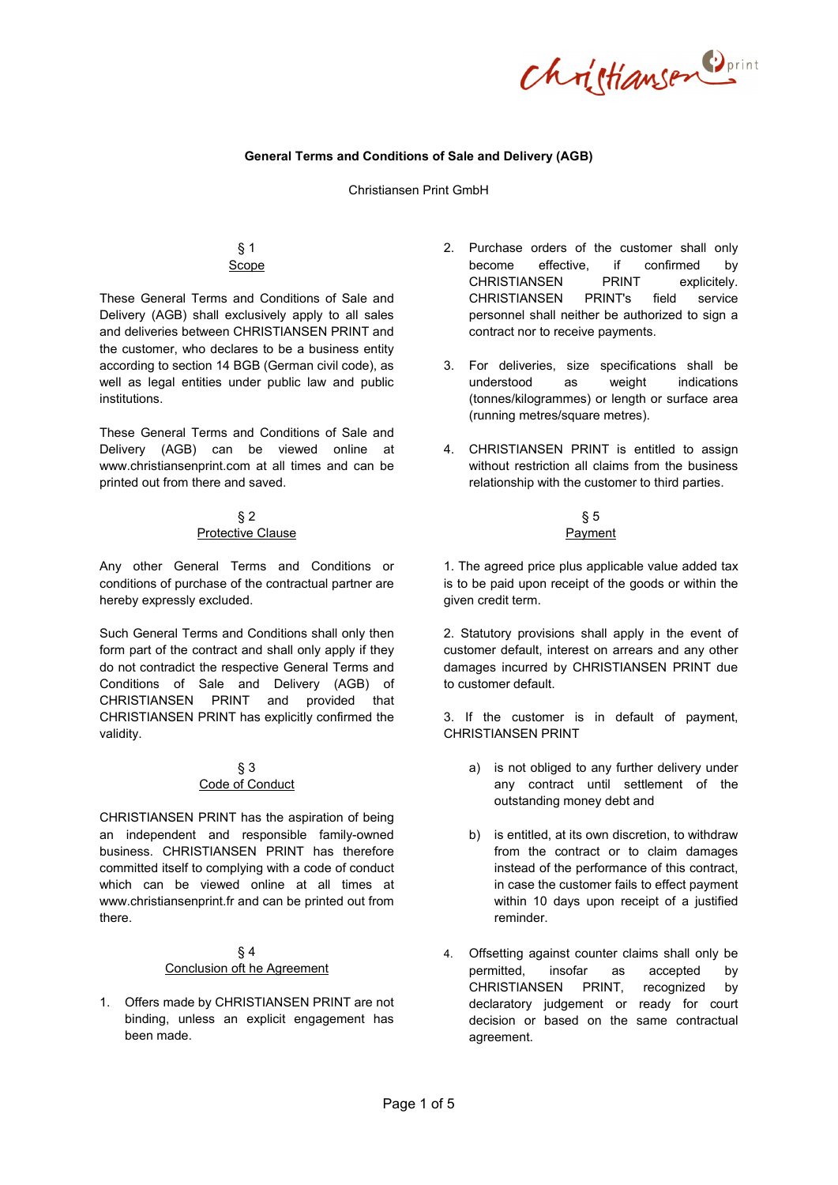Christiansen Dprint

## **General Terms and Conditions of Sale and Delivery (AGB)**

#### Christiansen Print GmbH

# § 1 Scope

These General Terms and Conditions of Sale and Delivery (AGB) shall exclusively apply to all sales and deliveries between CHRISTIANSEN PRINT and the customer, who declares to be a business entity according to section 14 BGB (German civil code), as well as legal entities under public law and public institutions.

These General Terms and Conditions of Sale and Delivery (AGB) can be viewed online at www.christiansenprint.com at all times and can be printed out from there and saved.

# § 2 Protective Clause

Any other General Terms and Conditions or conditions of purchase of the contractual partner are hereby expressly excluded.

Such General Terms and Conditions shall only then form part of the contract and shall only apply if they do not contradict the respective General Terms and Conditions of Sale and Delivery (AGB) of CHRISTIANSEN PRINT and provided that CHRISTIANSEN PRINT has explicitly confirmed the validity.

#### § 3 Code of Conduct

CHRISTIANSEN PRINT has the aspiration of being an independent and responsible family-owned business. CHRISTIANSEN PRINT has therefore committed itself to complying with a code of conduct which can be viewed online at all times at www.christiansenprint.fr and can be printed out from there.

## § 4 Conclusion oft he Agreement

1. Offers made by CHRISTIANSEN PRINT are not binding, unless an explicit engagement has been made.

- 2. Purchase orders of the customer shall only become effective, if confirmed by CHRISTIANSEN PRINT explicitely. CHRISTIANSEN PRINT's field service personnel shall neither be authorized to sign a contract nor to receive payments.
- 3. For deliveries, size specifications shall be understood as weight indications (tonnes/kilogrammes) or length or surface area (running metres/square metres).
- 4. CHRISTIANSEN PRINT is entitled to assign without restriction all claims from the business relationship with the customer to third parties.

#### § 5 Payment

1. The agreed price plus applicable value added tax is to be paid upon receipt of the goods or within the given credit term.

2. Statutory provisions shall apply in the event of customer default, interest on arrears and any other damages incurred by CHRISTIANSEN PRINT due to customer default.

3. If the customer is in default of payment, CHRISTIANSEN PRINT

- a) is not obliged to any further delivery under any contract until settlement of the outstanding money debt and
- b) is entitled, at its own discretion, to withdraw from the contract or to claim damages instead of the performance of this contract, in case the customer fails to effect payment within 10 days upon receipt of a justified reminder.
- 4. Offsetting against counter claims shall only be permitted, insofar as accepted by CHRISTIANSEN PRINT, recognized by declaratory judgement or ready for court decision or based on the same contractual agreement.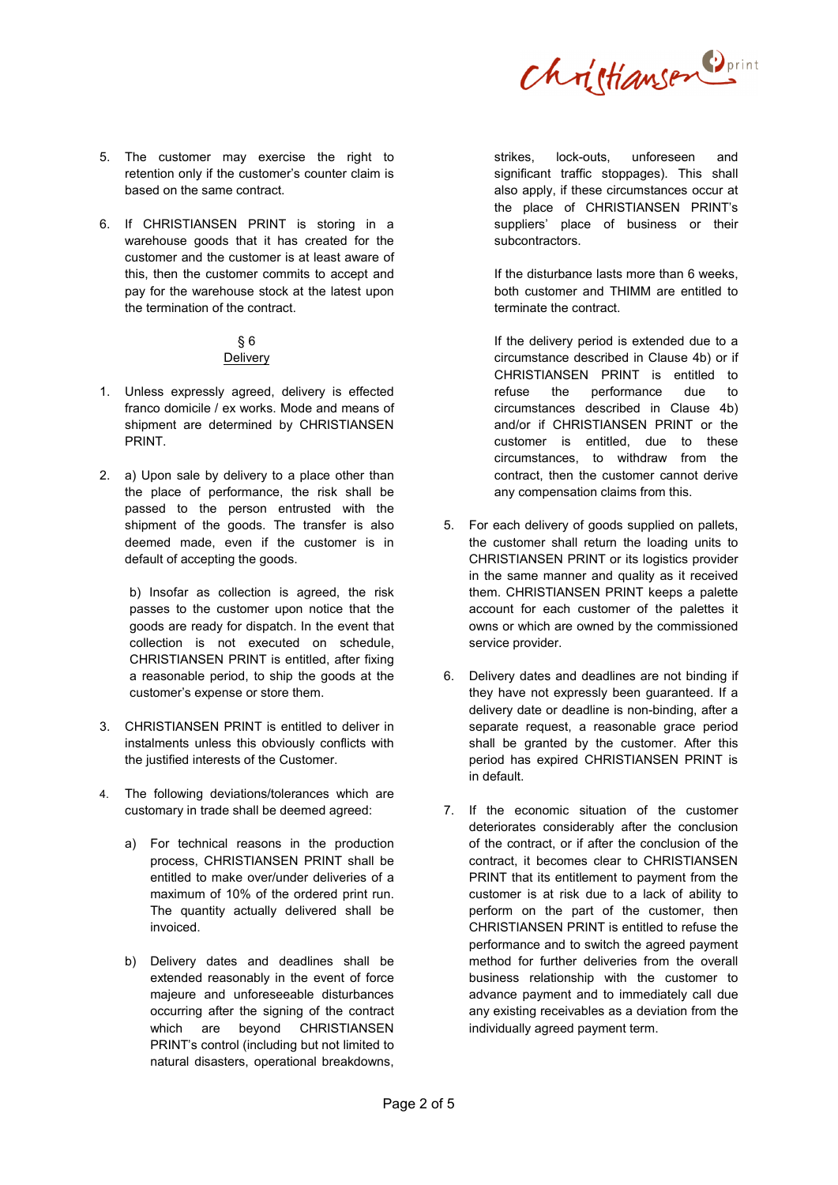Christiansen Dprint

- 5. The customer may exercise the right to retention only if the customer's counter claim is based on the same contract.
- 6. If CHRISTIANSEN PRINT is storing in a warehouse goods that it has created for the customer and the customer is at least aware of this, then the customer commits to accept and pay for the warehouse stock at the latest upon the termination of the contract.

## § 6 Delivery

- 1. Unless expressly agreed, delivery is effected franco domicile / ex works. Mode and means of shipment are determined by CHRISTIANSEN PRINT.
- 2. a) Upon sale by delivery to a place other than the place of performance, the risk shall be passed to the person entrusted with the shipment of the goods. The transfer is also deemed made, even if the customer is in default of accepting the goods.

b) Insofar as collection is agreed, the risk passes to the customer upon notice that the goods are ready for dispatch. In the event that collection is not executed on schedule, CHRISTIANSEN PRINT is entitled, after fixing a reasonable period, to ship the goods at the customer's expense or store them.

- 3. CHRISTIANSEN PRINT is entitled to deliver in instalments unless this obviously conflicts with the justified interests of the Customer.
- 4. The following deviations/tolerances which are customary in trade shall be deemed agreed:
	- a) For technical reasons in the production process, CHRISTIANSEN PRINT shall be entitled to make over/under deliveries of a maximum of 10% of the ordered print run. The quantity actually delivered shall be invoiced.
	- b) Delivery dates and deadlines shall be extended reasonably in the event of force majeure and unforeseeable disturbances occurring after the signing of the contract which are beyond CHRISTIANSEN PRINT's control (including but not limited to natural disasters, operational breakdowns,

strikes, lock-outs, unforeseen and significant traffic stoppages). This shall also apply, if these circumstances occur at the place of CHRISTIANSEN PRINT's suppliers' place of business or their subcontractors.

If the disturbance lasts more than 6 weeks, both customer and THIMM are entitled to terminate the contract.

If the delivery period is extended due to a circumstance described in Clause 4b) or if CHRISTIANSEN PRINT is entitled to refuse the performance due to circumstances described in Clause 4b) and/or if CHRISTIANSEN PRINT or the customer is entitled, due to these circumstances, to withdraw from the contract, then the customer cannot derive any compensation claims from this.

- 5. For each delivery of goods supplied on pallets, the customer shall return the loading units to CHRISTIANSEN PRINT or its logistics provider in the same manner and quality as it received them. CHRISTIANSEN PRINT keeps a palette account for each customer of the palettes it owns or which are owned by the commissioned service provider.
- 6. Delivery dates and deadlines are not binding if they have not expressly been guaranteed. If a delivery date or deadline is non-binding, after a separate request, a reasonable grace period shall be granted by the customer. After this period has expired CHRISTIANSEN PRINT is in default.
- 7. If the economic situation of the customer deteriorates considerably after the conclusion of the contract, or if after the conclusion of the contract, it becomes clear to CHRISTIANSEN PRINT that its entitlement to payment from the customer is at risk due to a lack of ability to perform on the part of the customer, then CHRISTIANSEN PRINT is entitled to refuse the performance and to switch the agreed payment method for further deliveries from the overall business relationship with the customer to advance payment and to immediately call due any existing receivables as a deviation from the individually agreed payment term.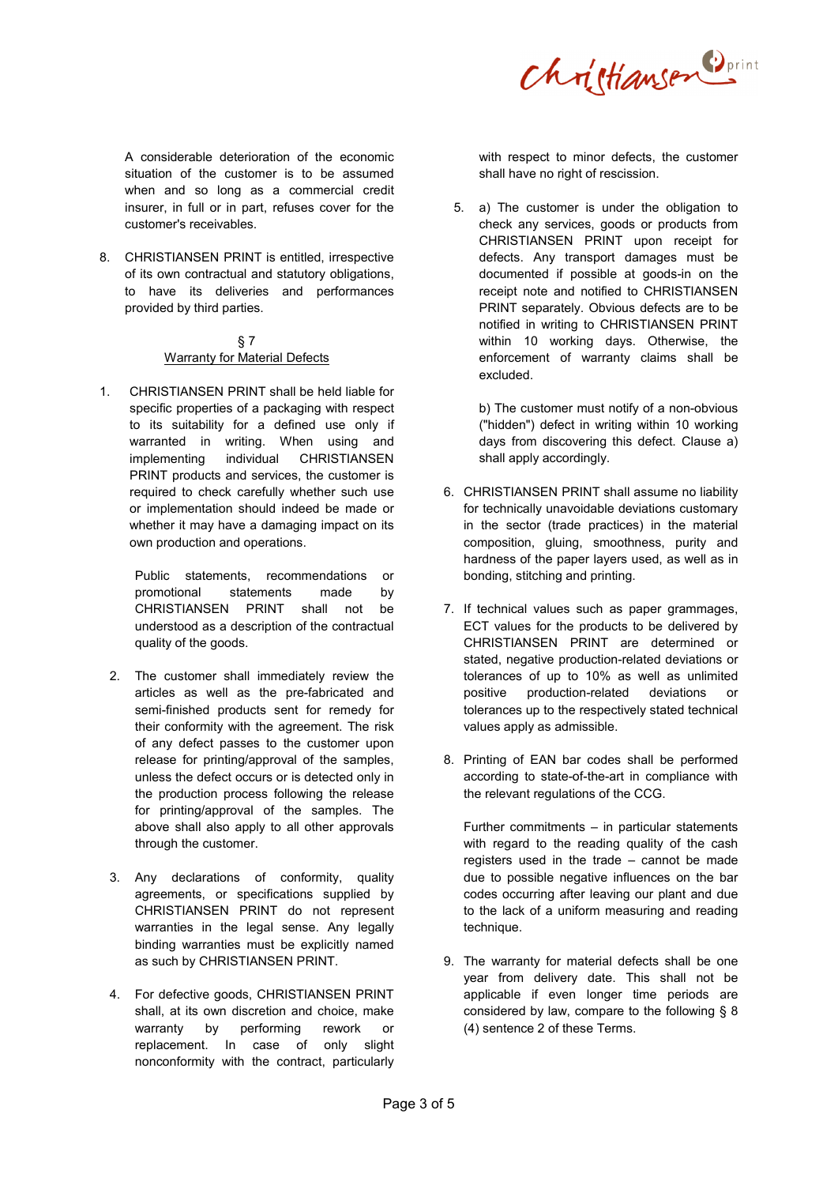

A considerable deterioration of the economic situation of the customer is to be assumed when and so long as a commercial credit insurer, in full or in part, refuses cover for the customer's receivables.

8. CHRISTIANSEN PRINT is entitled, irrespective of its own contractual and statutory obligations, to have its deliveries and performances provided by third parties.

## § 7 Warranty for Material Defects

1. CHRISTIANSEN PRINT shall be held liable for specific properties of a packaging with respect to its suitability for a defined use only if warranted in writing. When using and implementing individual CHRISTIANSEN PRINT products and services, the customer is required to check carefully whether such use or implementation should indeed be made or whether it may have a damaging impact on its own production and operations.

> Public statements, recommendations or promotional statements made by CHRISTIANSEN PRINT shall not be understood as a description of the contractual quality of the goods.

- 2. The customer shall immediately review the articles as well as the pre-fabricated and semi-finished products sent for remedy for their conformity with the agreement. The risk of any defect passes to the customer upon release for printing/approval of the samples, unless the defect occurs or is detected only in the production process following the release for printing/approval of the samples. The above shall also apply to all other approvals through the customer.
- 3. Any declarations of conformity, quality agreements, or specifications supplied by CHRISTIANSEN PRINT do not represent warranties in the legal sense. Any legally binding warranties must be explicitly named as such by CHRISTIANSEN PRINT.
- 4. For defective goods, CHRISTIANSEN PRINT shall, at its own discretion and choice, make warranty by performing rework or replacement. In case of only slight nonconformity with the contract, particularly

with respect to minor defects, the customer shall have no right of rescission.

5. a) The customer is under the obligation to check any services, goods or products from CHRISTIANSEN PRINT upon receipt for defects. Any transport damages must be documented if possible at goods-in on the receipt note and notified to CHRISTIANSEN PRINT separately. Obvious defects are to be notified in writing to CHRISTIANSEN PRINT within 10 working days. Otherwise, the enforcement of warranty claims shall be excluded.

b) The customer must notify of a non-obvious ("hidden") defect in writing within 10 working days from discovering this defect. Clause a) shall apply accordingly.

- 6. CHRISTIANSEN PRINT shall assume no liability for technically unavoidable deviations customary in the sector (trade practices) in the material composition, gluing, smoothness, purity and hardness of the paper layers used, as well as in bonding, stitching and printing.
- 7. If technical values such as paper grammages, ECT values for the products to be delivered by CHRISTIANSEN PRINT are determined or stated, negative production-related deviations or tolerances of up to 10% as well as unlimited positive production-related deviations or tolerances up to the respectively stated technical values apply as admissible.
- 8. Printing of EAN bar codes shall be performed according to state-of-the-art in compliance with the relevant regulations of the CCG.

Further commitments – in particular statements with regard to the reading quality of the cash registers used in the trade – cannot be made due to possible negative influences on the bar codes occurring after leaving our plant and due to the lack of a uniform measuring and reading technique.

9. The warranty for material defects shall be one year from delivery date. This shall not be applicable if even longer time periods are considered by law, compare to the following § 8 (4) sentence 2 of these Terms.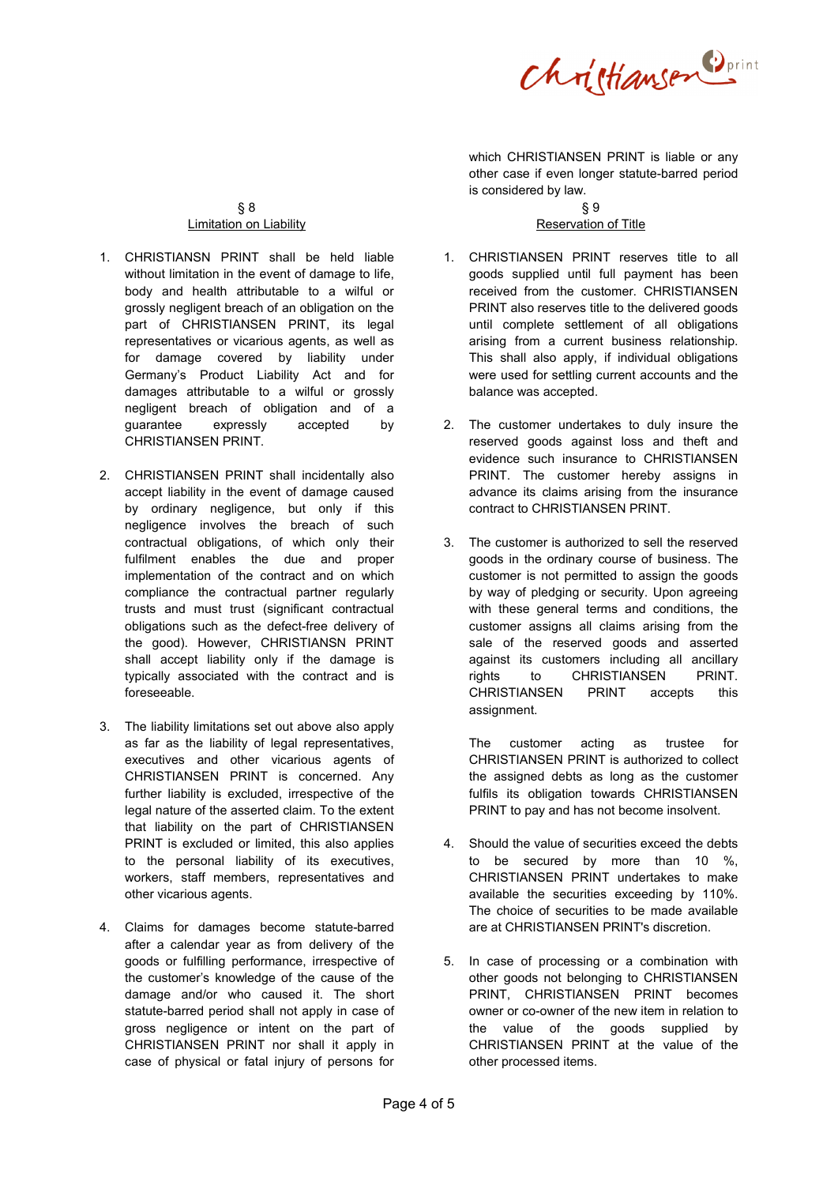Christiansen Dprint

which CHRISTIANSEN PRINT is liable or any other case if even longer statute-barred period is considered by law.

## § 8 Limitation on Liability

- 1. CHRISTIANSN PRINT shall be held liable without limitation in the event of damage to life. body and health attributable to a wilful or grossly negligent breach of an obligation on the part of CHRISTIANSEN PRINT, its legal representatives or vicarious agents, as well as for damage covered by liability under Germany's Product Liability Act and for damages attributable to a wilful or grossly negligent breach of obligation and of a guarantee expressly accepted by CHRISTIANSEN PRINT.
- 2. CHRISTIANSEN PRINT shall incidentally also accept liability in the event of damage caused by ordinary negligence, but only if this negligence involves the breach of such contractual obligations, of which only their fulfilment enables the due and proper implementation of the contract and on which compliance the contractual partner regularly trusts and must trust (significant contractual obligations such as the defect-free delivery of the good). However, CHRISTIANSN PRINT shall accept liability only if the damage is typically associated with the contract and is foreseeable.
- 3. The liability limitations set out above also apply as far as the liability of legal representatives, executives and other vicarious agents of CHRISTIANSEN PRINT is concerned. Any further liability is excluded, irrespective of the legal nature of the asserted claim. To the extent that liability on the part of CHRISTIANSEN PRINT is excluded or limited, this also applies to the personal liability of its executives, workers, staff members, representatives and other vicarious agents.
- 4. Claims for damages become statute-barred after a calendar year as from delivery of the goods or fulfilling performance, irrespective of the customer's knowledge of the cause of the damage and/or who caused it. The short statute-barred period shall not apply in case of gross negligence or intent on the part of CHRISTIANSEN PRINT nor shall it apply in case of physical or fatal injury of persons for

#### § 9 Reservation of Title

- 1. CHRISTIANSEN PRINT reserves title to all goods supplied until full payment has been received from the customer. CHRISTIANSEN PRINT also reserves title to the delivered goods until complete settlement of all obligations arising from a current business relationship. This shall also apply, if individual obligations were used for settling current accounts and the balance was accepted.
- 2. The customer undertakes to duly insure the reserved goods against loss and theft and evidence such insurance to CHRISTIANSEN PRINT. The customer hereby assigns in advance its claims arising from the insurance contract to CHRISTIANSEN PRINT.
- 3. The customer is authorized to sell the reserved goods in the ordinary course of business. The customer is not permitted to assign the goods by way of pledging or security. Upon agreeing with these general terms and conditions, the customer assigns all claims arising from the sale of the reserved goods and asserted against its customers including all ancillary rights to CHRISTIANSEN PRINT. CHRISTIANSEN PRINT accepts this assignment.

The customer acting as trustee for CHRISTIANSEN PRINT is authorized to collect the assigned debts as long as the customer fulfils its obligation towards CHRISTIANSEN PRINT to pay and has not become insolvent.

- 4. Should the value of securities exceed the debts to be secured by more than 10 %, CHRISTIANSEN PRINT undertakes to make available the securities exceeding by 110%. The choice of securities to be made available are at CHRISTIANSEN PRINT's discretion.
- 5. In case of processing or a combination with other goods not belonging to CHRISTIANSEN PRINT, CHRISTIANSEN PRINT becomes owner or co-owner of the new item in relation to the value of the goods supplied by CHRISTIANSEN PRINT at the value of the other processed items.